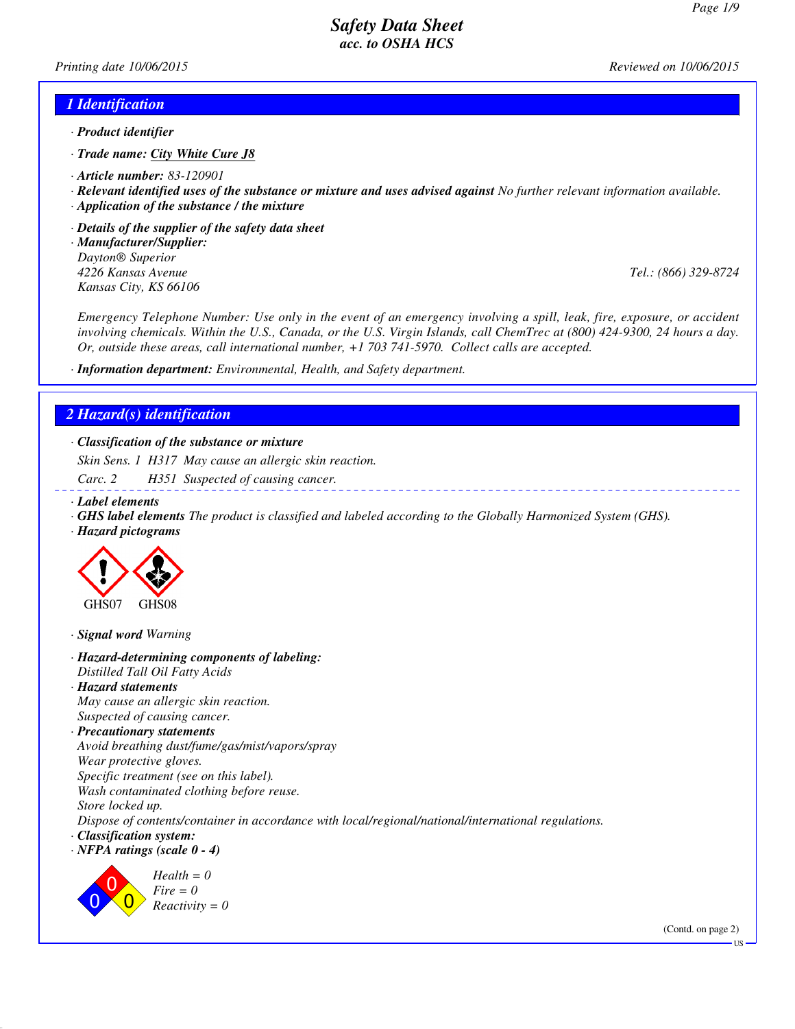*Printing date 10/06/2015 Reviewed on 10/06/2015*

#### *1 Identification*

- *· Product identifier*
- *· Trade name: City White Cure J8*
- *· Article number: 83-120901*
- *· Relevant identified uses of the substance or mixture and uses advised against No further relevant information available.*
- *· Application of the substance / the mixture*
- *· Details of the supplier of the safety data sheet*
- *· Manufacturer/Supplier: Dayton® Superior 4226 Kansas Avenue Tel.: (866) 329-8724 Kansas City, KS 66106*

*Emergency Telephone Number: Use only in the event of an emergency involving a spill, leak, fire, exposure, or accident involving chemicals. Within the U.S., Canada, or the U.S. Virgin Islands, call ChemTrec at (800) 424-9300, 24 hours a day. Or, outside these areas, call international number, +1 703 741-5970. Collect calls are accepted.*

*· Information department: Environmental, Health, and Safety department.*

### *2 Hazard(s) identification*

*· Classification of the substance or mixture*

*Skin Sens. 1 H317 May cause an allergic skin reaction.*

*Carc. 2 H351 Suspected of causing cancer.*

- *· Label elements*
- *· GHS label elements The product is classified and labeled according to the Globally Harmonized System (GHS).*
- *· Hazard pictograms*



*· Signal word Warning*

#### *· Hazard-determining components of labeling: Distilled Tall Oil Fatty Acids · Hazard statements*

*May cause an allergic skin reaction. Suspected of causing cancer.*

*· Precautionary statements Avoid breathing dust/fume/gas/mist/vapors/spray Wear protective gloves. Specific treatment (see on this label). Wash contaminated clothing before reuse. Store locked up.*

*Dispose of contents/container in accordance with local/regional/national/international regulations.*

- *· Classification system:*
- *· NFPA ratings (scale 0 4)*



*Health = 0 Fire = 0 Reactivity = 0*

(Contd. on page 2)

US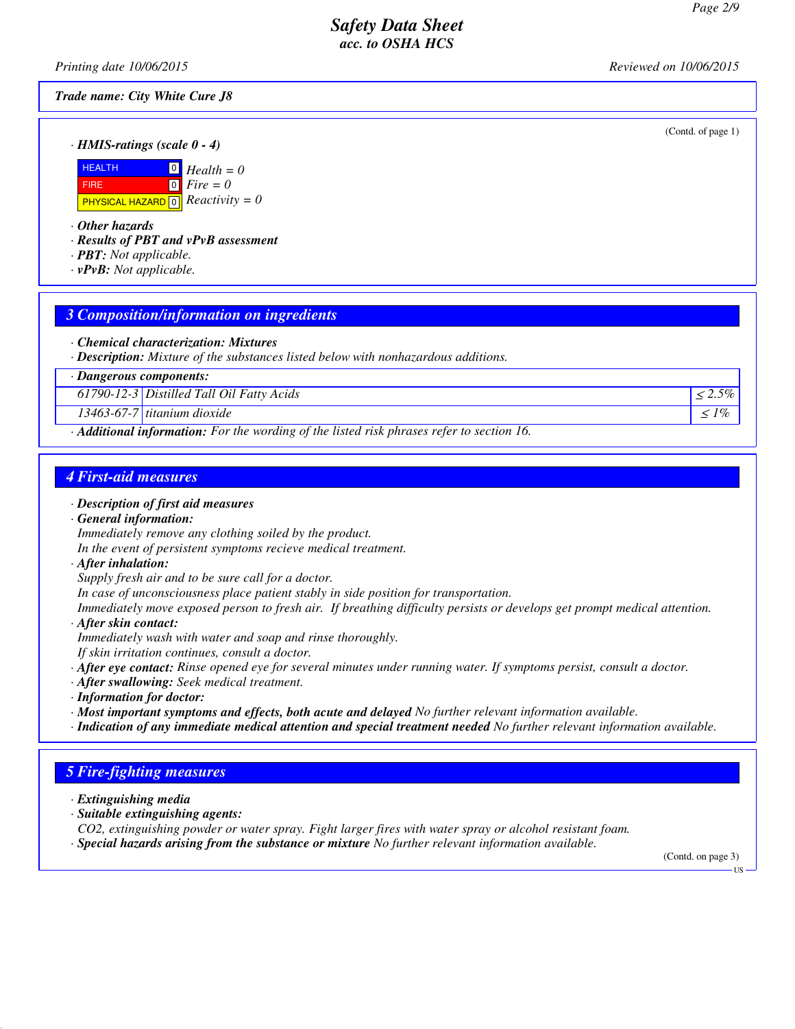(Contd. of page 1)

### *Safety Data Sheet acc. to OSHA HCS*

*Printing date 10/06/2015 Reviewed on 10/06/2015*

*Trade name: City White Cure J8*

*· HMIS-ratings (scale 0 - 4)*



*· Other hazards*

*· Results of PBT and vPvB assessment*

- *· PBT: Not applicable.*
- *· vPvB: Not applicable.*

## *3 Composition/information on ingredients*

- *· Chemical characterization: Mixtures*
- *· Description: Mixture of the substances listed below with nonhazardous additions.*

*· Dangerous components:*

*61790-12-3 Distilled Tall Oil Fatty Acids* <sup>≤</sup> *2.5%*

 $13463-67-7$  *titanium dioxide*  $\leq 1\%$ 

*· Additional information: For the wording of the listed risk phrases refer to section 16.*

## *4 First-aid measures*

- *· Description of first aid measures*
- *· General information: Immediately remove any clothing soiled by the product.*
- *In the event of persistent symptoms recieve medical treatment.*
- *· After inhalation:*
- *Supply fresh air and to be sure call for a doctor.*

*In case of unconsciousness place patient stably in side position for transportation.*

*Immediately move exposed person to fresh air. If breathing difficulty persists or develops get prompt medical attention. · After skin contact:*

- *Immediately wash with water and soap and rinse thoroughly.*
- *If skin irritation continues, consult a doctor.*
- *· After eye contact: Rinse opened eye for several minutes under running water. If symptoms persist, consult a doctor.*
- *· After swallowing: Seek medical treatment.*
- *· Information for doctor:*
- *· Most important symptoms and effects, both acute and delayed No further relevant information available.*
- *· Indication of any immediate medical attention and special treatment needed No further relevant information available.*

## *5 Fire-fighting measures*

*· Extinguishing media*

- *· Suitable extinguishing agents:*
- *CO2, extinguishing powder or water spray. Fight larger fires with water spray or alcohol resistant foam.*
- *· Special hazards arising from the substance or mixture No further relevant information available.*

(Contd. on page 3)

US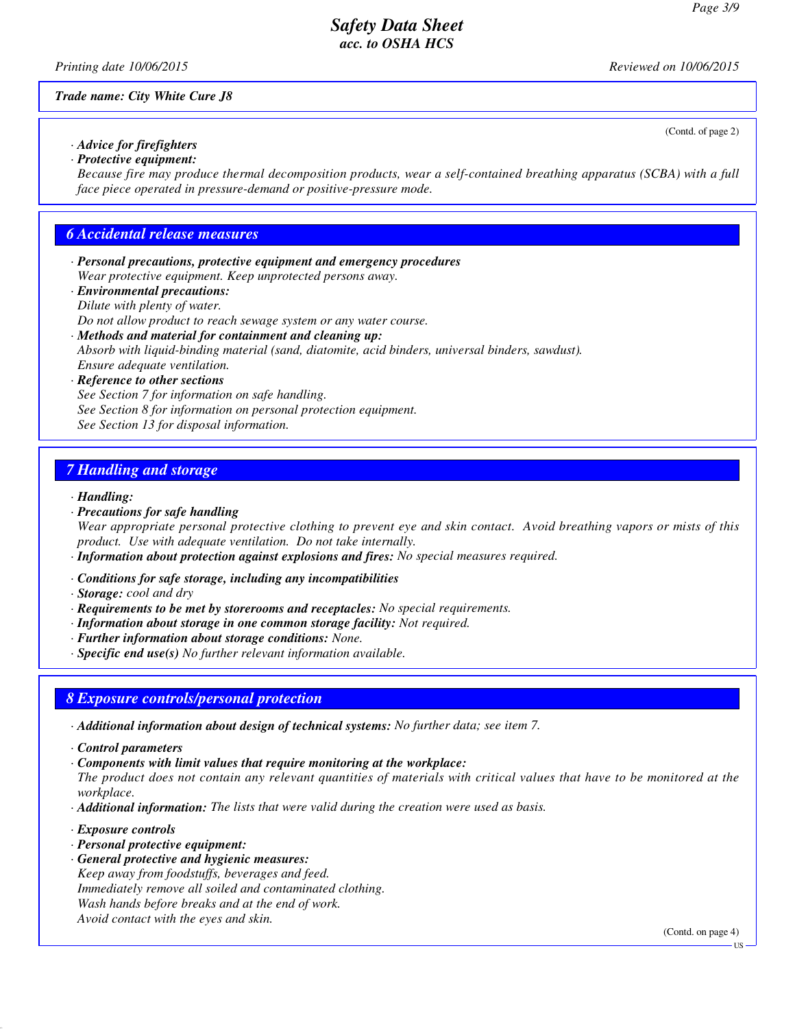(Contd. of page 2)

## *Safety Data Sheet acc. to OSHA HCS*

*Printing date 10/06/2015 Reviewed on 10/06/2015*

*Trade name: City White Cure J8*

*· Advice for firefighters · Protective equipment:*

*Because fire may produce thermal decomposition products, wear a self-contained breathing apparatus (SCBA) with a full face piece operated in pressure-demand or positive-pressure mode.*

### *6 Accidental release measures*

- *· Personal precautions, protective equipment and emergency procedures Wear protective equipment. Keep unprotected persons away.*
- *· Environmental precautions: Dilute with plenty of water.*

*Do not allow product to reach sewage system or any water course.*

*· Methods and material for containment and cleaning up:*

*Absorb with liquid-binding material (sand, diatomite, acid binders, universal binders, sawdust). Ensure adequate ventilation.*

#### *· Reference to other sections*

*See Section 7 for information on safe handling. See Section 8 for information on personal protection equipment. See Section 13 for disposal information.*

## *7 Handling and storage*

#### *· Handling:*

*· Precautions for safe handling*

*Wear appropriate personal protective clothing to prevent eye and skin contact. Avoid breathing vapors or mists of this product. Use with adequate ventilation. Do not take internally.*

*· Information about protection against explosions and fires: No special measures required.*

- *· Conditions for safe storage, including any incompatibilities*
- *· Storage: cool and dry*
- *· Requirements to be met by storerooms and receptacles: No special requirements.*
- *· Information about storage in one common storage facility: Not required.*
- *· Further information about storage conditions: None.*
- *· Specific end use(s) No further relevant information available.*

## *8 Exposure controls/personal protection*

*· Additional information about design of technical systems: No further data; see item 7.*

*· Control parameters*

*· Components with limit values that require monitoring at the workplace:*

*The product does not contain any relevant quantities of materials with critical values that have to be monitored at the workplace.*

- *· Additional information: The lists that were valid during the creation were used as basis.*
- *· Exposure controls*
- *· Personal protective equipment:*
- *· General protective and hygienic measures: Keep away from foodstuffs, beverages and feed. Immediately remove all soiled and contaminated clothing. Wash hands before breaks and at the end of work. Avoid contact with the eyes and skin.*

(Contd. on page 4)

**TIS**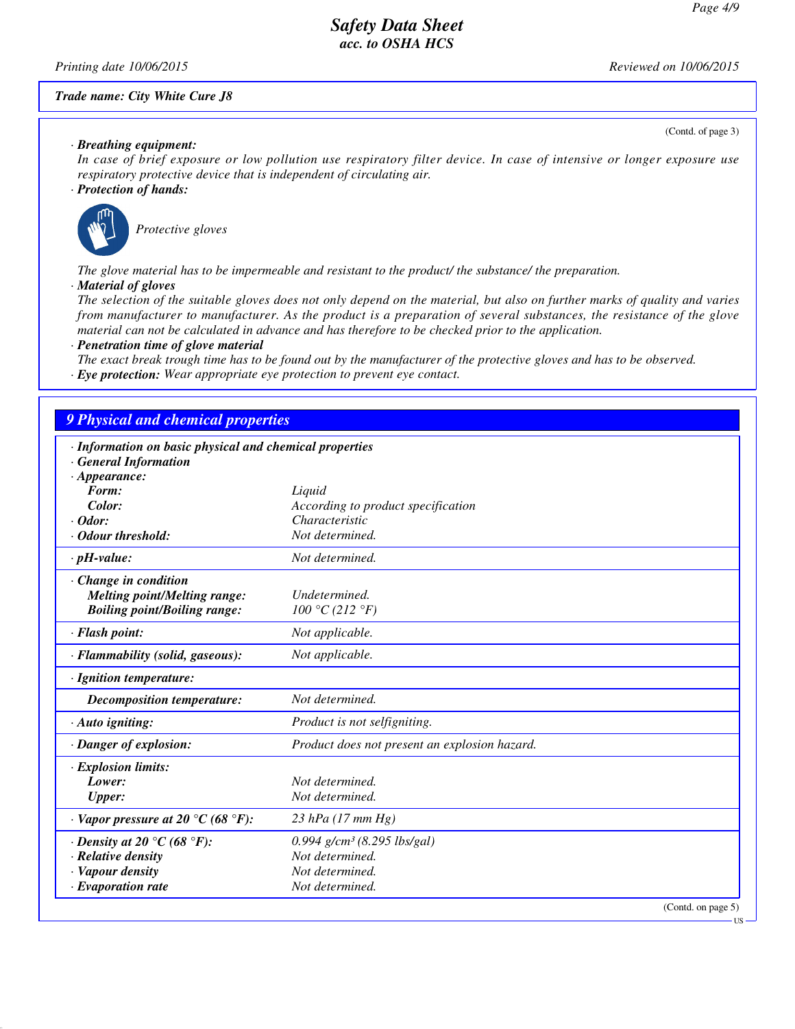(Contd. of page 3)

## *Safety Data Sheet acc. to OSHA HCS*

*Printing date 10/06/2015 Reviewed on 10/06/2015*

#### *Trade name: City White Cure J8*

*· Breathing equipment:*

*In case of brief exposure or low pollution use respiratory filter device. In case of intensive or longer exposure use respiratory protective device that is independent of circulating air.*

#### *· Protection of hands:*



*Protective gloves*

*The glove material has to be impermeable and resistant to the product/ the substance/ the preparation.*

*· Material of gloves*

*The selection of the suitable gloves does not only depend on the material, but also on further marks of quality and varies from manufacturer to manufacturer. As the product is a preparation of several substances, the resistance of the glove material can not be calculated in advance and has therefore to be checked prior to the application.*

*· Penetration time of glove material*

*The exact break trough time has to be found out by the manufacturer of the protective gloves and has to be observed. · Eye protection: Wear appropriate eye protection to prevent eye contact.*

# *9 Physical and chemical properties*

| · Information on basic physical and chemical properties |                                               |
|---------------------------------------------------------|-----------------------------------------------|
| <b>General Information</b>                              |                                               |
| $\cdot$ Appearance:                                     |                                               |
| Form:                                                   | Liquid                                        |
| Color:                                                  | According to product specification            |
| $\cdot$ Odor:                                           | Characteristic                                |
| Odour threshold:                                        | Not determined.                               |
| $\cdot$ pH-value:                                       | Not determined.                               |
| $\cdot$ Change in condition                             |                                               |
| <b>Melting point/Melting range:</b>                     | Undetermined.                                 |
| <b>Boiling point/Boiling range:</b>                     | 100 °C (212 °F)                               |
| · Flash point:                                          | Not applicable.                               |
| · Flammability (solid, gaseous):                        | Not applicable.                               |
| · Ignition temperature:                                 |                                               |
| <b>Decomposition temperature:</b>                       | Not determined.                               |
| $\cdot$ Auto igniting:                                  | Product is not selfigniting.                  |
| · Danger of explosion:                                  | Product does not present an explosion hazard. |
| · Explosion limits:                                     |                                               |
| Lower:                                                  | Not determined.                               |
| <b>Upper:</b>                                           | Not determined.                               |
| $\cdot$ Vapor pressure at 20 °C (68 °F):                | $23$ hPa (17 mm Hg)                           |
| $\cdot$ Density at 20 °C (68 °F):                       | $0.994$ g/cm <sup>3</sup> (8.295 lbs/gal)     |
| · Relative density                                      | Not determined.                               |
| · Vapour density                                        | Not determined.                               |
| · Evaporation rate                                      | Not determined.                               |
|                                                         | (Contd. on page 5)                            |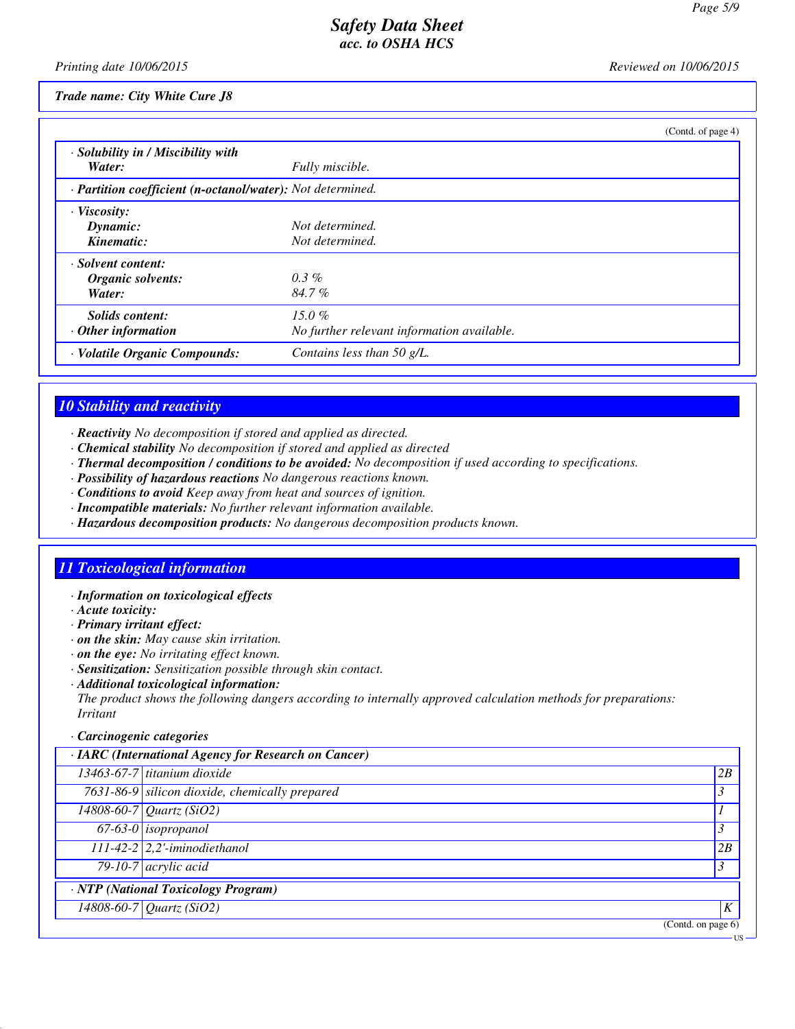*Printing date 10/06/2015 Reviewed on 10/06/2015*

*Trade name: City White Cure J8*

|                                                            |                                            | (Contd. of page 4) |
|------------------------------------------------------------|--------------------------------------------|--------------------|
| · Solubility in / Miscibility with                         |                                            |                    |
| Water:                                                     | Fully miscible.                            |                    |
| · Partition coefficient (n-octanol/water): Not determined. |                                            |                    |
| · Viscosity:                                               |                                            |                    |
| Dynamic:                                                   | Not determined.                            |                    |
| Kinematic:                                                 | Not determined.                            |                    |
| · Solvent content:                                         |                                            |                    |
| Organic solvents:                                          | $0.3\%$                                    |                    |
| Water:                                                     | $84.7\%$                                   |                    |
| Solids content:                                            | $15.0\%$                                   |                    |
| $\cdot$ Other information                                  | No further relevant information available. |                    |
| · Volatile Organic Compounds:                              | Contains less than 50 $g/L$ .              |                    |

## *10 Stability and reactivity*

- *· Reactivity No decomposition if stored and applied as directed.*
- *· Chemical stability No decomposition if stored and applied as directed*
- *· Thermal decomposition / conditions to be avoided: No decomposition if used according to specifications.*
- *· Possibility of hazardous reactions No dangerous reactions known.*
- *· Conditions to avoid Keep away from heat and sources of ignition.*
- *· Incompatible materials: No further relevant information available.*
- *· Hazardous decomposition products: No dangerous decomposition products known.*

## *11 Toxicological information*

- *· Information on toxicological effects*
- *· Acute toxicity:*
- *· Primary irritant effect:*
- *· on the skin: May cause skin irritation.*
- *· on the eye: No irritating effect known.*
- *· Sensitization: Sensitization possible through skin contact.*
- *· Additional toxicological information:*

*The product shows the following dangers according to internally approved calculation methods for preparations: Irritant*

#### *· Carcinogenic categories*

| · IARC (International Agency for Research on Cancer) |                                 |
|------------------------------------------------------|---------------------------------|
| $13463-67-7$ titanium dioxide                        | 2B                              |
| 7631-86-9 silicon dioxide, chemically prepared       | $\mathcal{S}$                   |
| 14808-60-7 Quartz (SiO2)                             |                                 |
| $67-63-0$ isopropanol                                | 3                               |
| $111-42-2$ 2,2'-iminodiethanol                       | 2B                              |
| $79-10-7$ acrylic acid                               | 3                               |
| · NTP (National Toxicology Program)                  |                                 |
| $14808 - 60 - 7$ <i>Quartz (SiO2)</i>                | K                               |
|                                                      | $\overline{(Contd. on page 6)}$ |
|                                                      | ·US·                            |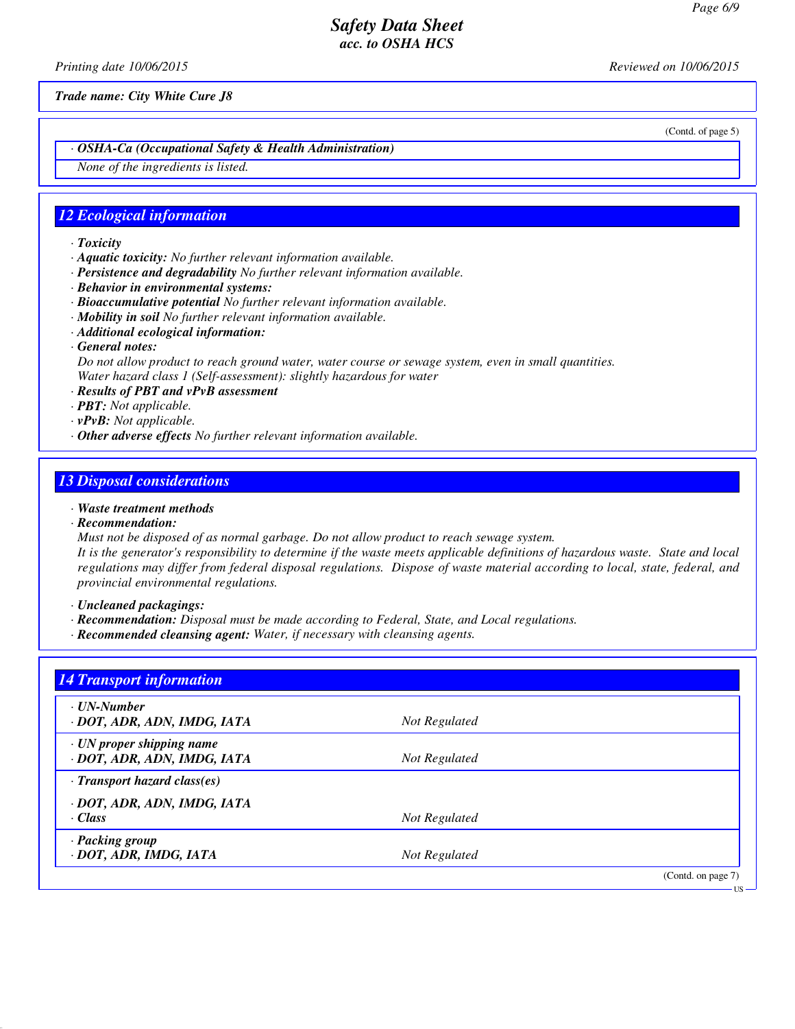*Printing date 10/06/2015 Reviewed on 10/06/2015*

*Trade name: City White Cure J8*

(Contd. of page 5)

US

*· OSHA-Ca (Occupational Safety & Health Administration)*

*None of the ingredients is listed.*

## *12 Ecological information*

- *· Toxicity*
- *· Aquatic toxicity: No further relevant information available.*
- *· Persistence and degradability No further relevant information available.*
- *· Behavior in environmental systems:*
- *· Bioaccumulative potential No further relevant information available.*
- *· Mobility in soil No further relevant information available.*
- *· Additional ecological information:*
- *· General notes:*

*Do not allow product to reach ground water, water course or sewage system, even in small quantities. Water hazard class 1 (Self-assessment): slightly hazardous for water*

- *· Results of PBT and vPvB assessment*
- *· PBT: Not applicable.*
- *· vPvB: Not applicable.*
- *· Other adverse effects No further relevant information available.*

#### *13 Disposal considerations*

- *· Waste treatment methods*
- *· Recommendation:*

*Must not be disposed of as normal garbage. Do not allow product to reach sewage system.*

*It is the generator's responsibility to determine if the waste meets applicable definitions of hazardous waste. State and local regulations may differ from federal disposal regulations. Dispose of waste material according to local, state, federal, and provincial environmental regulations.*

*· Uncleaned packagings:*

- *· Recommendation: Disposal must be made according to Federal, State, and Local regulations.*
- *· Recommended cleansing agent: Water, if necessary with cleansing agents.*

| <b>14 Transport information</b>                  |               |                    |
|--------------------------------------------------|---------------|--------------------|
| $\cdot$ UN-Number<br>· DOT, ADR, ADN, IMDG, IATA | Not Regulated |                    |
| · UN proper shipping name                        |               |                    |
| · DOT, ADR, ADN, IMDG, IATA                      | Not Regulated |                    |
| $\cdot$ Transport hazard class(es)               |               |                    |
| · DOT, ADR, ADN, IMDG, IATA                      |               |                    |
| · Class                                          | Not Regulated |                    |
| · Packing group                                  |               |                    |
| · DOT, ADR, IMDG, IATA                           | Not Regulated |                    |
|                                                  |               | (Contd. on page 7) |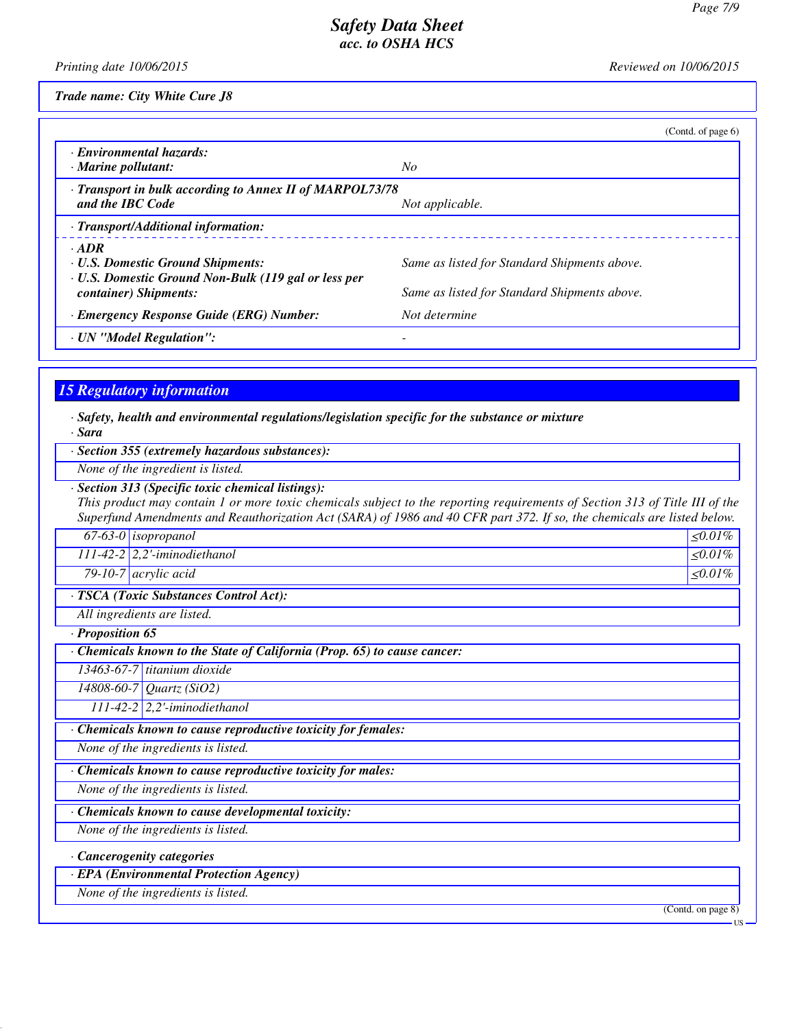*Printing date 10/06/2015 Reviewed on 10/06/2015*

*Trade name: City White Cure J8*

|                                                                                                                        | (Contd. of page 6)                           |
|------------------------------------------------------------------------------------------------------------------------|----------------------------------------------|
| · Environmental hazards:<br>$\cdot$ Marine pollutant:                                                                  | No                                           |
| · Transport in bulk according to Annex II of MARPOL73/78<br>and the IBC Code                                           | Not applicable.                              |
| · Transport/Additional information:                                                                                    |                                              |
| $\cdot$ ADR<br><b>· U.S. Domestic Ground Shipments:</b><br><b>· U.S. Domestic Ground Non-Bulk (119 gal or less per</b> | Same as listed for Standard Shipments above. |
| container) Shipments:                                                                                                  | Same as listed for Standard Shipments above. |
| · Emergency Response Guide (ERG) Number:                                                                               | Not determine                                |
| · UN "Model Regulation":                                                                                               |                                              |

# *15 Regulatory information*

- *· Safety, health and environmental regulations/legislation specific for the substance or mixture · Sara*
- *· Section 355 (extremely hazardous substances):*
- *None of the ingredient is listed.*
- *· Section 313 (Specific toxic chemical listings):*

*This product may contain 1 or more toxic chemicals subject to the reporting requirements of Section 313 of Title III of the Superfund Amendments and Reauthorization Act (SARA) of 1986 and 40 CFR part 372. If so, the chemicals are listed below.*

|                                        | $67-63-0$ isopropanol          | $\langle 0.01\% \rangle$ |
|----------------------------------------|--------------------------------|--------------------------|
|                                        | $111-42-2$ 2,2'-iminodiethanol | $ <0.01\% $              |
|                                        | 79-10-7 $acyclic acid$         | $\leq 0.01\%$            |
| · TSCA (Toxic Substances Control Act): |                                |                          |
| All ingredients are listed.            |                                |                          |

*· Proposition 65*

*· Chemicals known to the State of California (Prop. 65) to cause cancer:*

*13463-67-7 titanium dioxide*

*14808-60-7 Quartz (SiO2)*

*111-42-2 2,2'-iminodiethanol*

*· Chemicals known to cause reproductive toxicity for females:*

*None of the ingredients is listed.*

*· Chemicals known to cause reproductive toxicity for males:*

*None of the ingredients is listed.*

*· Chemicals known to cause developmental toxicity:*

*None of the ingredients is listed.*

# *· Cancerogenity categories*

*· EPA (Environmental Protection Agency)*

*None of the ingredients is listed.*

(Contd. on page 8)

US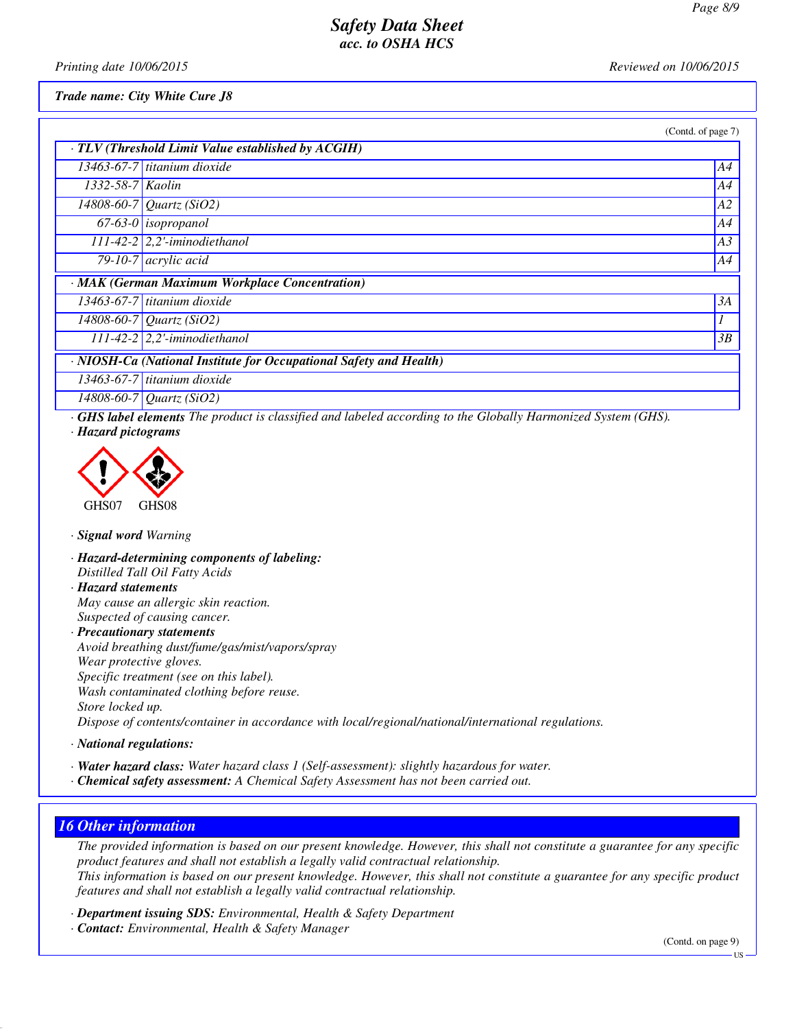*Printing date 10/06/2015 Reviewed on 10/06/2015*

*Trade name: City White Cure J8*

|                  |                                                                    | (Contd. of page 7) |
|------------------|--------------------------------------------------------------------|--------------------|
|                  | $\cdot$ TLV (Threshold Limit Value established by ACGIH)           |                    |
|                  | 13463-67-7 titanium dioxide                                        | A4                 |
| 1332-58-7 Kaolin |                                                                    | A4                 |
|                  | 14808-60-7 Quartz (SiO2)                                           | AA2                |
|                  | $67-63-0$ isopropanol                                              | A4                 |
|                  | $111-42-2$ 2,2'-iminodiethanol                                     | A3                 |
|                  | 79-10-7 $acrylic acid$                                             | A4                 |
|                  | · MAK (German Maximum Workplace Concentration)                     |                    |
|                  | 13463-67-7 titanium dioxide                                        | 3A                 |
|                  | 14808-60-7 Quartz (SiO2)                                           | 1                  |
|                  | $111-42-2$ 2,2'-iminodiethanol                                     | 3B                 |
|                  | · NIOSH-Ca (National Institute for Occupational Safety and Health) |                    |
|                  | 13463-67-7 titanium dioxide                                        |                    |
|                  | $14000007070$ (C:00)                                               |                    |

*14808-60-7 Quartz (SiO2)*

*· GHS label elements The product is classified and labeled according to the Globally Harmonized System (GHS). · Hazard pictograms*



- *· Signal word Warning*
- *· Hazard-determining components of labeling: Distilled Tall Oil Fatty Acids*
- *· Hazard statements May cause an allergic skin reaction. Suspected of causing cancer.*

*· Precautionary statements*

*Avoid breathing dust/fume/gas/mist/vapors/spray Wear protective gloves. Specific treatment (see on this label). Wash contaminated clothing before reuse. Store locked up. Dispose of contents/container in accordance with local/regional/national/international regulations.*

- *· National regulations:*
- *· Water hazard class: Water hazard class 1 (Self-assessment): slightly hazardous for water.*
- *· Chemical safety assessment: A Chemical Safety Assessment has not been carried out.*

# *16 Other information*

*The provided information is based on our present knowledge. However, this shall not constitute a guarantee for any specific product features and shall not establish a legally valid contractual relationship. This information is based on our present knowledge. However, this shall not constitute a guarantee for any specific product features and shall not establish a legally valid contractual relationship.*

*· Department issuing SDS: Environmental, Health & Safety Department*

*· Contact: Environmental, Health & Safety Manager*